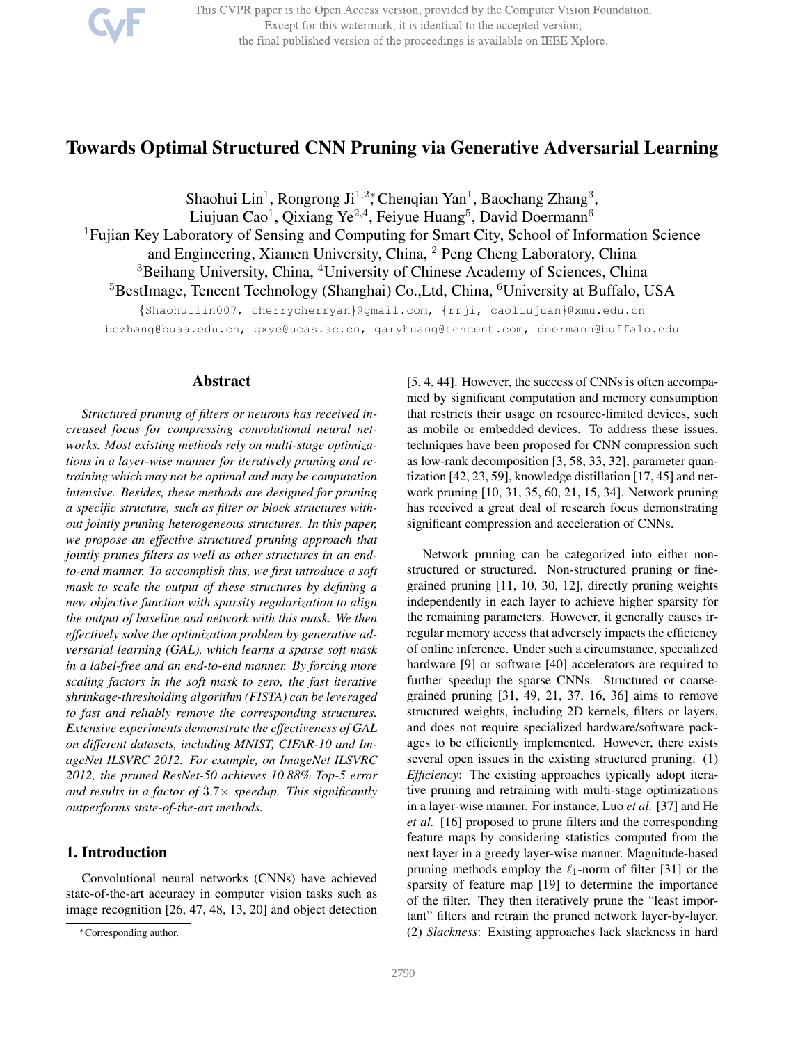

This CVPR paper is the Open Access version, provided by the Computer Vision Foundation. Except for this watermark, it is identical to the accepted version; the final published version of the proceedings is available on IEEE Xplore.

# Towards Optimal Structured CNN Pruning via Generative Adversarial Learning

Shaohui Lin<sup>1</sup>, Rongrong Ji<sup>1,2</sup>\*, Chenqian Yan<sup>1</sup>, Baochang Zhang<sup>3</sup>, Liujuan Cao<sup>1</sup>, Qixiang Ye<sup>2,4</sup>, Feiyue Huang<sup>5</sup>, David Doermann<sup>6</sup> <sup>1</sup>Fujian Key Laboratory of Sensing and Computing for Smart City, School of Information Science and Engineering, Xiamen University, China, <sup>2</sup> Peng Cheng Laboratory, China <sup>3</sup>Beihang University, China, <sup>4</sup>University of Chinese Academy of Sciences, China <sup>5</sup>BestImage, Tencent Technology (Shanghai) Co.,Ltd, China, <sup>6</sup>University at Buffalo, USA

{Shaohuilin007, cherrycherryan}@gmail.com, {rrji, caoliujuan}@xmu.edu.cn

bczhang@buaa.edu.cn, qxye@ucas.ac.cn, garyhuang@tencent.com, doermann@buffalo.edu

### Abstract

*Structured pruning of filters or neurons has received increased focus for compressing convolutional neural networks. Most existing methods rely on multi-stage optimizations in a layer-wise manner for iteratively pruning and retraining which may not be optimal and may be computation intensive. Besides, these methods are designed for pruning a specific structure, such as filter or block structures without jointly pruning heterogeneous structures. In this paper, we propose an effective structured pruning approach that jointly prunes filters as well as other structures in an endto-end manner. To accomplish this, we first introduce a soft mask to scale the output of these structures by defining a new objective function with sparsity regularization to align the output of baseline and network with this mask. We then effectively solve the optimization problem by generative adversarial learning (GAL), which learns a sparse soft mask in a label-free and an end-to-end manner. By forcing more scaling factors in the soft mask to zero, the fast iterative shrinkage-thresholding algorithm (FISTA) can be leveraged to fast and reliably remove the corresponding structures. Extensive experiments demonstrate the effectiveness of GAL on different datasets, including MNIST, CIFAR-10 and ImageNet ILSVRC 2012. For example, on ImageNet ILSVRC 2012, the pruned ResNet-50 achieves 10.88% Top-5 error and results in a factor of* 3.7× *speedup. This significantly outperforms state-of-the-art methods.*

## 1. Introduction

Convolutional neural networks (CNNs) have achieved state-of-the-art accuracy in computer vision tasks such as image recognition [26, 47, 48, 13, 20] and object detection

[5, 4, 44]. However, the success of CNNs is often accompanied by significant computation and memory consumption that restricts their usage on resource-limited devices, such as mobile or embedded devices. To address these issues, techniques have been proposed for CNN compression such as low-rank decomposition [3, 58, 33, 32], parameter quantization [42, 23, 59], knowledge distillation [17, 45] and network pruning [10, 31, 35, 60, 21, 15, 34]. Network pruning has received a great deal of research focus demonstrating significant compression and acceleration of CNNs.

Network pruning can be categorized into either nonstructured or structured. Non-structured pruning or finegrained pruning [11, 10, 30, 12], directly pruning weights independently in each layer to achieve higher sparsity for the remaining parameters. However, it generally causes irregular memory access that adversely impacts the efficiency of online inference. Under such a circumstance, specialized hardware [9] or software [40] accelerators are required to further speedup the sparse CNNs. Structured or coarsegrained pruning [31, 49, 21, 37, 16, 36] aims to remove structured weights, including 2D kernels, filters or layers, and does not require specialized hardware/software packages to be efficiently implemented. However, there exists several open issues in the existing structured pruning. (1) *Efficiency*: The existing approaches typically adopt iterative pruning and retraining with multi-stage optimizations in a layer-wise manner. For instance, Luo *et al.* [37] and He *et al.* [16] proposed to prune filters and the corresponding feature maps by considering statistics computed from the next layer in a greedy layer-wise manner. Magnitude-based pruning methods employ the  $\ell_1$ -norm of filter [31] or the sparsity of feature map [19] to determine the importance of the filter. They then iteratively prune the "least important" filters and retrain the pruned network layer-by-layer. (2) *Slackness*: Existing approaches lack slackness in hard

<sup>∗</sup>Corresponding author.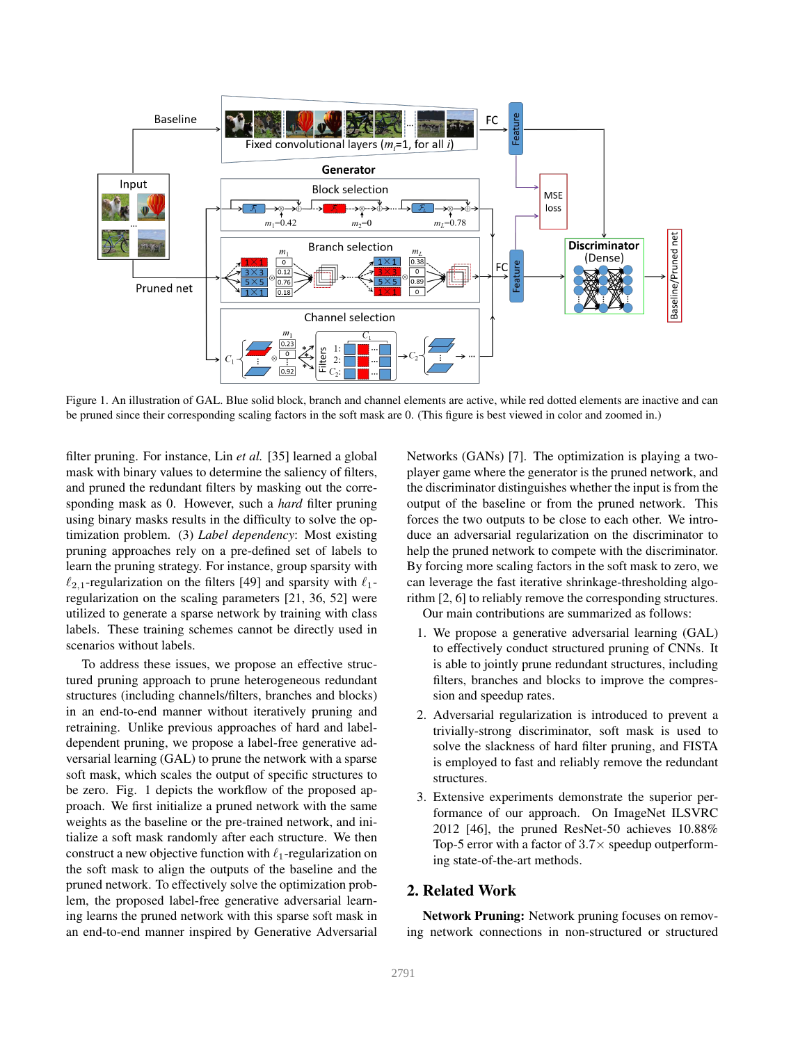

Figure 1. An illustration of GAL. Blue solid block, branch and channel elements are active, while red dotted elements are inactive and can be pruned since their corresponding scaling factors in the soft mask are 0. (This figure is best viewed in color and zoomed in.)

filter pruning. For instance, Lin *et al.* [35] learned a global mask with binary values to determine the saliency of filters, and pruned the redundant filters by masking out the corresponding mask as 0. However, such a *hard* filter pruning using binary masks results in the difficulty to solve the optimization problem. (3) *Label dependency*: Most existing pruning approaches rely on a pre-defined set of labels to learn the pruning strategy. For instance, group sparsity with  $\ell_{2,1}$ -regularization on the filters [49] and sparsity with  $\ell_1$ regularization on the scaling parameters [21, 36, 52] were utilized to generate a sparse network by training with class labels. These training schemes cannot be directly used in scenarios without labels.

To address these issues, we propose an effective structured pruning approach to prune heterogeneous redundant structures (including channels/filters, branches and blocks) in an end-to-end manner without iteratively pruning and retraining. Unlike previous approaches of hard and labeldependent pruning, we propose a label-free generative adversarial learning (GAL) to prune the network with a sparse soft mask, which scales the output of specific structures to be zero. Fig. 1 depicts the workflow of the proposed approach. We first initialize a pruned network with the same weights as the baseline or the pre-trained network, and initialize a soft mask randomly after each structure. We then construct a new objective function with  $\ell_1$ -regularization on the soft mask to align the outputs of the baseline and the pruned network. To effectively solve the optimization problem, the proposed label-free generative adversarial learning learns the pruned network with this sparse soft mask in an end-to-end manner inspired by Generative Adversarial

Networks (GANs) [7]. The optimization is playing a twoplayer game where the generator is the pruned network, and the discriminator distinguishes whether the input is from the output of the baseline or from the pruned network. This forces the two outputs to be close to each other. We introduce an adversarial regularization on the discriminator to help the pruned network to compete with the discriminator. By forcing more scaling factors in the soft mask to zero, we can leverage the fast iterative shrinkage-thresholding algorithm [2, 6] to reliably remove the corresponding structures. Our main contributions are summarized as follows:

- 1. We propose a generative adversarial learning (GAL) to effectively conduct structured pruning of CNNs. It is able to jointly prune redundant structures, including filters, branches and blocks to improve the compression and speedup rates.
- 2. Adversarial regularization is introduced to prevent a trivially-strong discriminator, soft mask is used to solve the slackness of hard filter pruning, and FISTA is employed to fast and reliably remove the redundant structures.
- 3. Extensive experiments demonstrate the superior performance of our approach. On ImageNet ILSVRC 2012 [46], the pruned ResNet-50 achieves 10.88% Top-5 error with a factor of  $3.7\times$  speedup outperforming state-of-the-art methods.

## 2. Related Work

Network Pruning: Network pruning focuses on removing network connections in non-structured or structured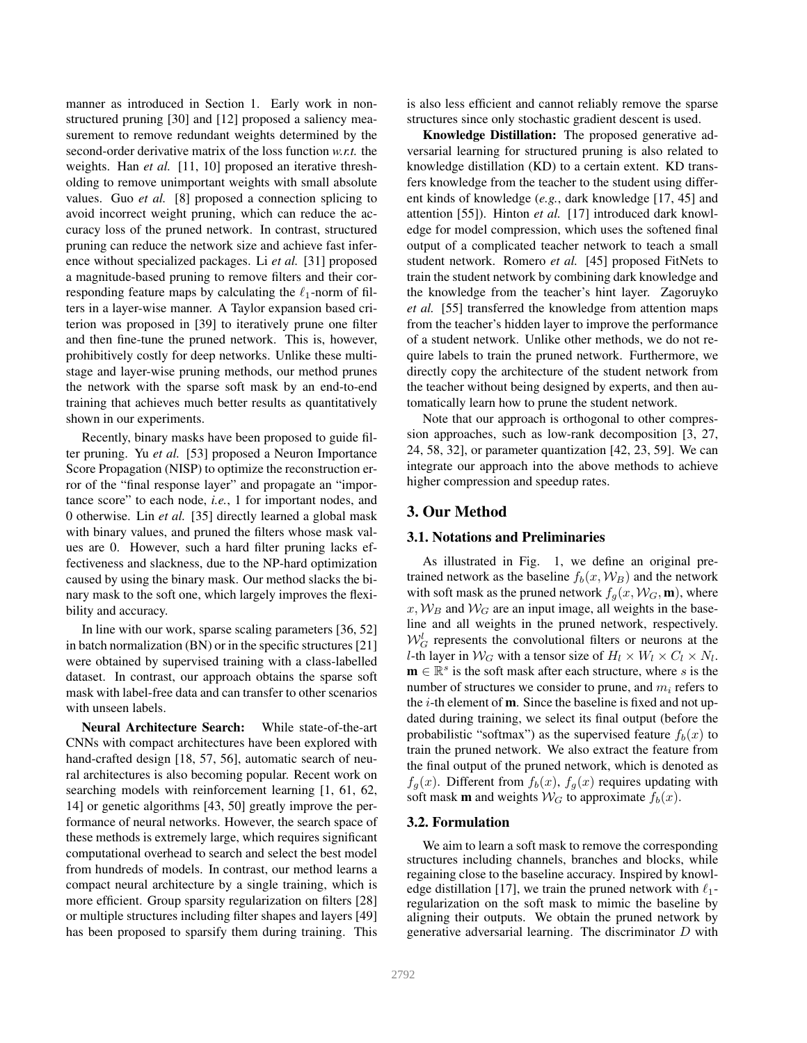manner as introduced in Section 1. Early work in nonstructured pruning [30] and [12] proposed a saliency measurement to remove redundant weights determined by the second-order derivative matrix of the loss function *w.r.t.* the weights. Han *et al.* [11, 10] proposed an iterative thresholding to remove unimportant weights with small absolute values. Guo *et al.* [8] proposed a connection splicing to avoid incorrect weight pruning, which can reduce the accuracy loss of the pruned network. In contrast, structured pruning can reduce the network size and achieve fast inference without specialized packages. Li *et al.* [31] proposed a magnitude-based pruning to remove filters and their corresponding feature maps by calculating the  $\ell_1$ -norm of filters in a layer-wise manner. A Taylor expansion based criterion was proposed in [39] to iteratively prune one filter and then fine-tune the pruned network. This is, however, prohibitively costly for deep networks. Unlike these multistage and layer-wise pruning methods, our method prunes the network with the sparse soft mask by an end-to-end training that achieves much better results as quantitatively shown in our experiments.

Recently, binary masks have been proposed to guide filter pruning. Yu *et al.* [53] proposed a Neuron Importance Score Propagation (NISP) to optimize the reconstruction error of the "final response layer" and propagate an "importance score" to each node, *i.e.*, 1 for important nodes, and 0 otherwise. Lin *et al.* [35] directly learned a global mask with binary values, and pruned the filters whose mask values are 0. However, such a hard filter pruning lacks effectiveness and slackness, due to the NP-hard optimization caused by using the binary mask. Our method slacks the binary mask to the soft one, which largely improves the flexibility and accuracy.

In line with our work, sparse scaling parameters [36, 52] in batch normalization (BN) or in the specific structures [21] were obtained by supervised training with a class-labelled dataset. In contrast, our approach obtains the sparse soft mask with label-free data and can transfer to other scenarios with unseen labels.

Neural Architecture Search: While state-of-the-art CNNs with compact architectures have been explored with hand-crafted design [18, 57, 56], automatic search of neural architectures is also becoming popular. Recent work on searching models with reinforcement learning [1, 61, 62, 14] or genetic algorithms [43, 50] greatly improve the performance of neural networks. However, the search space of these methods is extremely large, which requires significant computational overhead to search and select the best model from hundreds of models. In contrast, our method learns a compact neural architecture by a single training, which is more efficient. Group sparsity regularization on filters [28] or multiple structures including filter shapes and layers [49] has been proposed to sparsify them during training. This

is also less efficient and cannot reliably remove the sparse structures since only stochastic gradient descent is used.

Knowledge Distillation: The proposed generative adversarial learning for structured pruning is also related to knowledge distillation (KD) to a certain extent. KD transfers knowledge from the teacher to the student using different kinds of knowledge (*e.g.*, dark knowledge [17, 45] and attention [55]). Hinton *et al.* [17] introduced dark knowledge for model compression, which uses the softened final output of a complicated teacher network to teach a small student network. Romero *et al.* [45] proposed FitNets to train the student network by combining dark knowledge and the knowledge from the teacher's hint layer. Zagoruyko *et al.* [55] transferred the knowledge from attention maps from the teacher's hidden layer to improve the performance of a student network. Unlike other methods, we do not require labels to train the pruned network. Furthermore, we directly copy the architecture of the student network from the teacher without being designed by experts, and then automatically learn how to prune the student network.

Note that our approach is orthogonal to other compression approaches, such as low-rank decomposition [3, 27, 24, 58, 32], or parameter quantization [42, 23, 59]. We can integrate our approach into the above methods to achieve higher compression and speedup rates.

## 3. Our Method

#### 3.1. Notations and Preliminaries

As illustrated in Fig. 1, we define an original pretrained network as the baseline  $f_b(x, W_B)$  and the network with soft mask as the pruned network  $f_q(x, \mathcal{W}_G, \mathbf{m})$ , where  $x, W_B$  and  $W_G$  are an input image, all weights in the baseline and all weights in the pruned network, respectively.  $W_G^l$  represents the convolutional filters or neurons at the *l*-th layer in  $W_G$  with a tensor size of  $H_l \times W_l \times C_l \times N_l$ .  $\mathbf{m} \in \mathbb{R}^s$  is the soft mask after each structure, where s is the number of structures we consider to prune, and  $m_i$  refers to the  $i$ -th element of  $m$ . Since the baseline is fixed and not updated during training, we select its final output (before the probabilistic "softmax") as the supervised feature  $f_b(x)$  to train the pruned network. We also extract the feature from the final output of the pruned network, which is denoted as  $f_g(x)$ . Different from  $f_b(x)$ ,  $f_g(x)$  requires updating with soft mask **m** and weights  $W_G$  to approximate  $f_b(x)$ .

#### 3.2. Formulation

We aim to learn a soft mask to remove the corresponding structures including channels, branches and blocks, while regaining close to the baseline accuracy. Inspired by knowledge distillation [17], we train the pruned network with  $\ell_1$ regularization on the soft mask to mimic the baseline by aligning their outputs. We obtain the pruned network by generative adversarial learning. The discriminator  $D$  with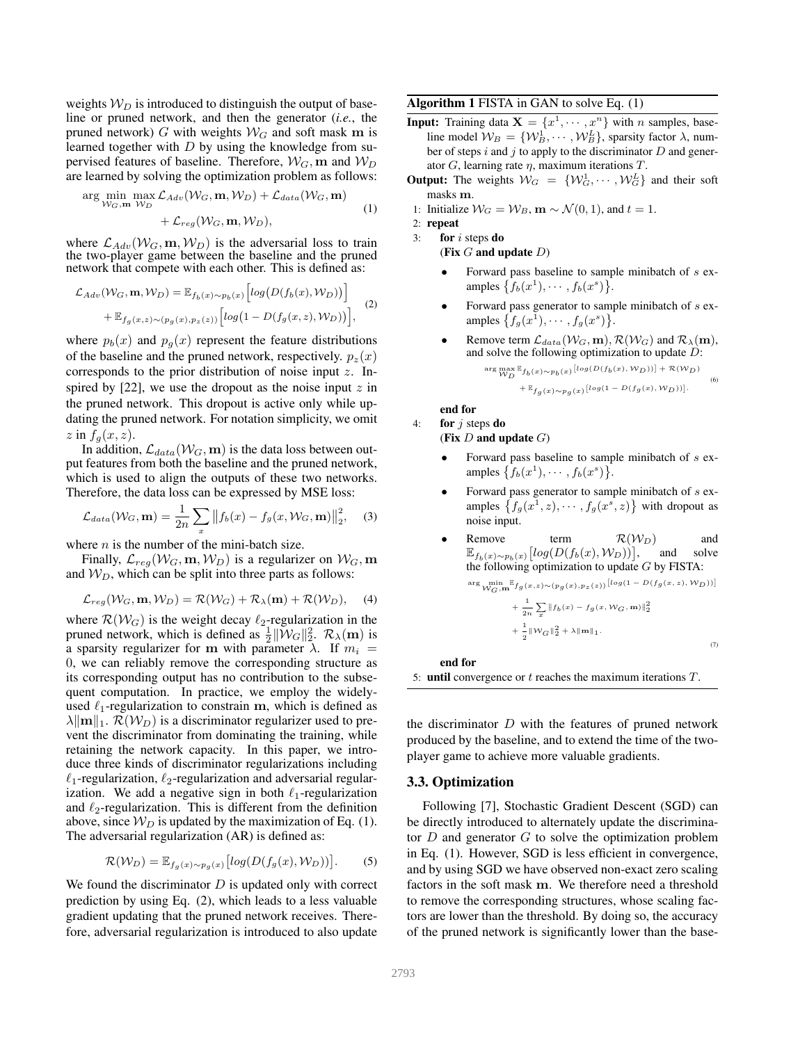weights  $W_D$  is introduced to distinguish the output of baseline or pruned network, and then the generator (*i.e.*, the pruned network) G with weights  $W_G$  and soft mask m is learned together with  $D$  by using the knowledge from supervised features of baseline. Therefore,  $W_G$ , m and  $W_D$ are learned by solving the optimization problem as follows:

$$
\arg\min_{\mathcal{W}_G, \mathbf{m}} \max_{\mathcal{W}_D} \mathcal{L}_{Adv}(\mathcal{W}_G, \mathbf{m}, \mathcal{W}_D) + \mathcal{L}_{data}(\mathcal{W}_G, \mathbf{m}) + \mathcal{L}_{reg}(\mathcal{W}_G, \mathbf{m}, \mathcal{W}_D),
$$
\n(1)

where  $\mathcal{L}_{Adv}(\mathcal{W}_G, \mathbf{m}, \mathcal{W}_D)$  is the adversarial loss to train the two-player game between the baseline and the pruned network that compete with each other. This is defined as:

$$
\mathcal{L}_{Adv}(\mathcal{W}_G, \mathbf{m}, \mathcal{W}_D) = \mathbb{E}_{f_b(x) \sim p_b(x)} \left[ log(D(f_b(x), \mathcal{W}_D)) \right] + \mathbb{E}_{f_g(x, z) \sim (p_g(x), p_z(z))} \left[ log(1 - D(f_g(x, z), \mathcal{W}_D)) \right],
$$
 (2)

where  $p_b(x)$  and  $p_g(x)$  represent the feature distributions of the baseline and the pruned network, respectively.  $p_z(x)$ corresponds to the prior distribution of noise input z. Inspired by  $[22]$ , we use the dropout as the noise input z in the pruned network. This dropout is active only while updating the pruned network. For notation simplicity, we omit  $z$  in  $f_q(x, z)$ .

In addition,  $\mathcal{L}_{data}(\mathcal{W}_G, \mathbf{m})$  is the data loss between output features from both the baseline and the pruned network, which is used to align the outputs of these two networks. Therefore, the data loss can be expressed by MSE loss:

$$
\mathcal{L}_{data}(\mathcal{W}_G, \mathbf{m}) = \frac{1}{2n} \sum_x \left\| f_b(x) - f_g(x, \mathcal{W}_G, \mathbf{m}) \right\|_2^2, \quad (3)
$$

where  $n$  is the number of the mini-batch size.

Finally,  $\mathcal{L}_{reg}(\mathcal{W}_G, \mathbf{m}, \mathcal{W}_D)$  is a regularizer on  $\mathcal{W}_G$ , m and  $W_D$ , which can be split into three parts as follows:

$$
\mathcal{L}_{reg}(\mathcal{W}_G, \mathbf{m}, \mathcal{W}_D) = \mathcal{R}(\mathcal{W}_G) + \mathcal{R}_{\lambda}(\mathbf{m}) + \mathcal{R}(\mathcal{W}_D), \quad (4)
$$

where  $\mathcal{R}(\mathcal{W}_G)$  is the weight decay  $\ell_2$ -regularization in the pruned network, which is defined as  $\frac{1}{2} \|\widetilde{W}_G\|_2^2$ .  $\mathcal{R}_\lambda(\mathbf{m})$  is a sparsity regularizer for m with parameter  $\lambda$ . If  $m_i =$ 0, we can reliably remove the corresponding structure as its corresponding output has no contribution to the subsequent computation. In practice, we employ the widelyused  $\ell_1$ -regularization to constrain m, which is defined as  $\lambda \|\mathbf{m}\|_1$ .  $\mathcal{R}(\mathcal{W}_D)$  is a discriminator regularizer used to prevent the discriminator from dominating the training, while retaining the network capacity. In this paper, we introduce three kinds of discriminator regularizations including  $\ell_1$ -regularization,  $\ell_2$ -regularization and adversarial regularization. We add a negative sign in both  $\ell_1$ -regularization and  $\ell_2$ -regularization. This is different from the definition above, since  $W_D$  is updated by the maximization of Eq. (1). The adversarial regularization (AR) is defined as:

$$
\mathcal{R}(\mathcal{W}_D) = \mathbb{E}_{f_g(x) \sim p_g(x)} \left[ log(D(f_g(x), \mathcal{W}_D)) \right].
$$
 (5)

We found the discriminator  $D$  is updated only with correct prediction by using Eq. (2), which leads to a less valuable gradient updating that the pruned network receives. Therefore, adversarial regularization is introduced to also update

Algorithm 1 FISTA in GAN to solve Eq. (1)

- **Input:** Training data  $X = \{x^1, \dots, x^n\}$  with *n* samples, baseline model  $\mathcal{W}_B = \{ \mathcal{W}_B^1, \cdots, \mathcal{W}_B^L \}$ , sparsity factor  $\lambda$ , number of steps  $i$  and  $j$  to apply to the discriminator  $D$  and generator G, learning rate  $\eta$ , maximum iterations T.
- **Output:** The weights  $W_G = \{W_G^1, \dots, W_G^L\}$  and their soft masks m.
- 1: Initialize  $W_G = W_B$ ,  $\mathbf{m} \sim \mathcal{N}(0, 1)$ , and  $t = 1$ .
- 2: repeat

```
3: for i steps do
```

```
(Fix G and update D)
```
- Forward pass baseline to sample minibatch of s examples  $\{f_b(x^1), \cdots, f_b(x^s)\}.$
- Forward pass generator to sample minibatch of s examples  $\{f_g(x^1), \cdots, f_g(x^s)\}.$
- Remove term  $\mathcal{L}_{data}(\mathcal{W}_G, \mathbf{m}), \mathcal{R}(\mathcal{W}_G)$  and  $\mathcal{R}_{\lambda}(\mathbf{m}),$ and solve the following optimization to update  $D$ :

$$
\max_{\mathcal{W}_D} \mathbb{E}_{f_b(x) \sim p_b(x)} \left[ \log(D(f_b(x), \mathcal{W}_D)) \right] + \mathcal{R}(\mathcal{W}_D)
$$
\n(6)

$$
+\mathbb{E}_{fg(x)\sim p_g(x)}\left[log(1-D(f_g(x),\mathcal{W}_D))\right].
$$

end for

4: for  $j$  steps do

(Fix 
$$
D
$$
 and update  $G$ )

arg

- Forward pass baseline to sample minibatch of s examples  $\{f_b(x^1), \cdots, f_b(x^s)\}.$
- Forward pass generator to sample minibatch of s examples  $\{f_g(x^1, z), \dots, f_g(x^s, z)\}\$  with dropout as noise input.
- Remove term  $\mathcal{R}(\mathcal{W}_D)$  and  $\mathbb{E}_{f_b(x) \sim p_b(x)}\big[log(D(f_b(x),\mathcal{W}_D))\big]$ and solve the following optimization to update G by FISTA:

$$
\begin{aligned} \arg\min_{\mathcal{W}_G,\mathbf{m}} \mathbb{E}f_g(x,z)\!\sim\!(p_g(x),&p_z(z))\left[\log(1-D(f_g(x,z),\mathcal{W}_D))\right]\\ +\frac{1}{2n}\sum_x \left\|f_b(x)-f_g(x,\mathcal{W}_G,\mathbf{m})\right\|_2^2\\ +\frac{1}{2}\|\mathcal{W}_G\|_2^2+\lambda\|\mathbf{m}\|_1. \end{aligned}
$$

(7)

end for

5: **until** convergence or  $t$  reaches the maximum iterations  $T$ .

the discriminator  $D$  with the features of pruned network produced by the baseline, and to extend the time of the twoplayer game to achieve more valuable gradients.

#### 3.3. Optimization

Following [7], Stochastic Gradient Descent (SGD) can be directly introduced to alternately update the discriminator  $D$  and generator  $G$  to solve the optimization problem in Eq. (1). However, SGD is less efficient in convergence, and by using SGD we have observed non-exact zero scaling factors in the soft mask m. We therefore need a threshold to remove the corresponding structures, whose scaling factors are lower than the threshold. By doing so, the accuracy of the pruned network is significantly lower than the base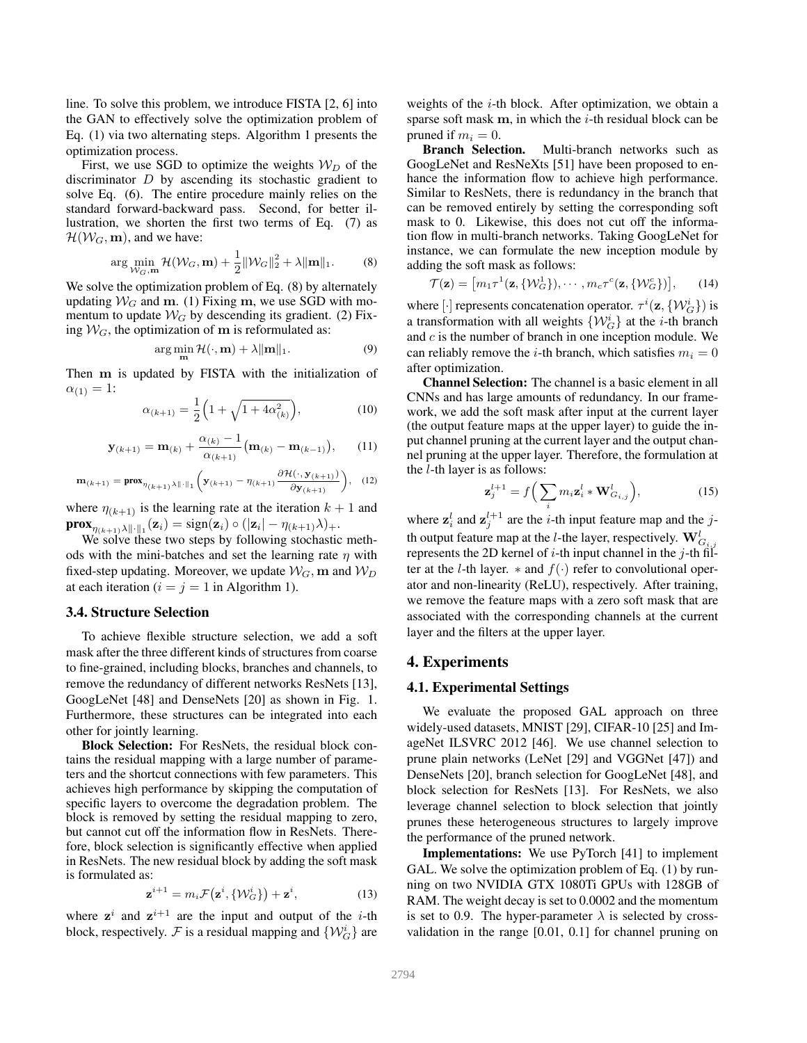line. To solve this problem, we introduce FISTA [2, 6] into the GAN to effectively solve the optimization problem of Eq. (1) via two alternating steps. Algorithm 1 presents the optimization process.

First, we use SGD to optimize the weights  $W_D$  of the discriminator  $D$  by ascending its stochastic gradient to solve Eq. (6). The entire procedure mainly relies on the standard forward-backward pass. Second, for better illustration, we shorten the first two terms of Eq. (7) as  $\mathcal{H}(\mathcal{W}_G, \mathbf{m})$ , and we have:

$$
\arg\min_{\mathcal{W}_G,\mathbf{m}} \mathcal{H}(\mathcal{W}_G,\mathbf{m}) + \frac{1}{2} \|\mathcal{W}_G\|_2^2 + \lambda \|\mathbf{m}\|_1. \tag{8}
$$

We solve the optimization problem of Eq.  $(8)$  by alternately updating  $W_G$  and m. (1) Fixing m, we use SGD with momentum to update  $W_G$  by descending its gradient. (2) Fixing  $W_G$ , the optimization of m is reformulated as:

$$
\arg\min_{\mathbf{m}} \mathcal{H}(\cdot, \mathbf{m}) + \lambda \|\mathbf{m}\|_1. \tag{9}
$$

Then m is updated by FISTA with the initialization of  $\alpha_{(1)} = 1$ :

$$
\alpha_{(k+1)} = \frac{1}{2} \Big( 1 + \sqrt{1 + 4\alpha_{(k)}^2} \Big),\tag{10}
$$

$$
\mathbf{y}_{(k+1)} = \mathbf{m}_{(k)} + \frac{\alpha_{(k)} - 1}{\alpha_{(k+1)}} (\mathbf{m}_{(k)} - \mathbf{m}_{(k-1)}), \qquad (11)
$$

$$
\mathbf{m}_{(k+1)} = \mathbf{prox}_{\eta_{(k+1)}\lambda \|\cdot\|_1} \left(\mathbf{y}_{(k+1)} - \eta_{(k+1)} \frac{\partial \mathcal{H}(\cdot, \mathbf{y}_{(k+1)})}{\partial \mathbf{y}_{(k+1)}}\right), \quad (12)
$$

where  $\eta_{(k+1)}$  is the learning rate at the iteration  $k+1$  and  $\textbf{prox}_{\eta_{(k+1)}\lambda\|\cdot\|_1}(\mathbf{z}_i) = \text{sign}(\mathbf{z}_i) \circ (|\mathbf{z}_i| - \eta_{(k+1)}\lambda)_+.$ 

We solve these two steps by following stochastic methods with the mini-batches and set the learning rate  $\eta$  with fixed-step updating. Moreover, we update  $\mathcal{W}_G$ , m and  $\mathcal{W}_D$ at each iteration ( $i = j = 1$  in Algorithm 1).

#### 3.4. Structure Selection

To achieve flexible structure selection, we add a soft mask after the three different kinds of structures from coarse to fine-grained, including blocks, branches and channels, to remove the redundancy of different networks ResNets [13], GoogLeNet [48] and DenseNets [20] as shown in Fig. 1. Furthermore, these structures can be integrated into each other for jointly learning.

Block Selection: For ResNets, the residual block contains the residual mapping with a large number of parameters and the shortcut connections with few parameters. This achieves high performance by skipping the computation of specific layers to overcome the degradation problem. The block is removed by setting the residual mapping to zero, but cannot cut off the information flow in ResNets. Therefore, block selection is significantly effective when applied in ResNets. The new residual block by adding the soft mask is formulated as:

$$
\mathbf{z}^{i+1} = m_i \mathcal{F}(\mathbf{z}^i, \{\mathcal{W}_G^i\}) + \mathbf{z}^i,\tag{13}
$$

where  $z^i$  and  $z^{i+1}$  are the input and output of the *i*-th block, respectively. F is a residual mapping and  $\{W_G^i\}$  are weights of the *i*-th block. After optimization, we obtain a sparse soft mask  $m$ , in which the *i*-th residual block can be pruned if  $m_i = 0$ .<br>**Branch Selection.** 

Multi-branch networks such as GoogLeNet and ResNeXts [51] have been proposed to enhance the information flow to achieve high performance. Similar to ResNets, there is redundancy in the branch that can be removed entirely by setting the corresponding soft mask to 0. Likewise, this does not cut off the information flow in multi-branch networks. Taking GoogLeNet for instance, we can formulate the new inception module by adding the soft mask as follows:

$$
\mathcal{T}(\mathbf{z}) = \left[ m_1 \tau^1(\mathbf{z}, \{ \mathcal{W}_G^1 \}), \cdots, m_c \tau^c(\mathbf{z}, \{ \mathcal{W}_G^c \}) \right],\tag{14}
$$

where  $[\cdot]$  represents concatenation operator.  $\tau^i(\mathbf{z}, \{\mathcal{W}_G^i\})$  is a transformation with all weights  $\{W_G^i\}$  at the *i*-th branch and c is the number of branch in one inception module. We can reliably remove the *i*-th branch, which satisfies  $m_i = 0$ after optimization.

Channel Selection: The channel is a basic element in all CNNs and has large amounts of redundancy. In our framework, we add the soft mask after input at the current layer (the output feature maps at the upper layer) to guide the input channel pruning at the current layer and the output channel pruning at the upper layer. Therefore, the formulation at the  $l$ -th layer is as follows:

$$
\mathbf{z}_{j}^{l+1} = f\Big(\sum_{i} m_{i} \mathbf{z}_{i}^{l} * \mathbf{W}_{G_{i,j}}^{l}\Big),\tag{15}
$$

where  $z_i^l$  and  $z_j^{l+1}$  are the *i*-th input feature map and the *j*th output feature map at the *l*-the layer, respectively.  $\mathbf{W}^l_{G_{i,j}}$ represents the 2D kernel of  $i$ -th input channel in the  $j$ -th filter at the l-th layer.  $*$  and  $f(.)$  refer to convolutional operator and non-linearity (ReLU), respectively. After training, we remove the feature maps with a zero soft mask that are associated with the corresponding channels at the current layer and the filters at the upper layer.

#### 4. Experiments

#### 4.1. Experimental Settings

We evaluate the proposed GAL approach on three widely-used datasets, MNIST [29], CIFAR-10 [25] and ImageNet ILSVRC 2012 [46]. We use channel selection to prune plain networks (LeNet [29] and VGGNet [47]) and DenseNets [20], branch selection for GoogLeNet [48], and block selection for ResNets [13]. For ResNets, we also leverage channel selection to block selection that jointly prunes these heterogeneous structures to largely improve the performance of the pruned network.

Implementations: We use PyTorch [41] to implement GAL. We solve the optimization problem of Eq. (1) by running on two NVIDIA GTX 1080Ti GPUs with 128GB of RAM. The weight decay is set to 0.0002 and the momentum is set to 0.9. The hyper-parameter  $\lambda$  is selected by crossvalidation in the range [0.01, 0.1] for channel pruning on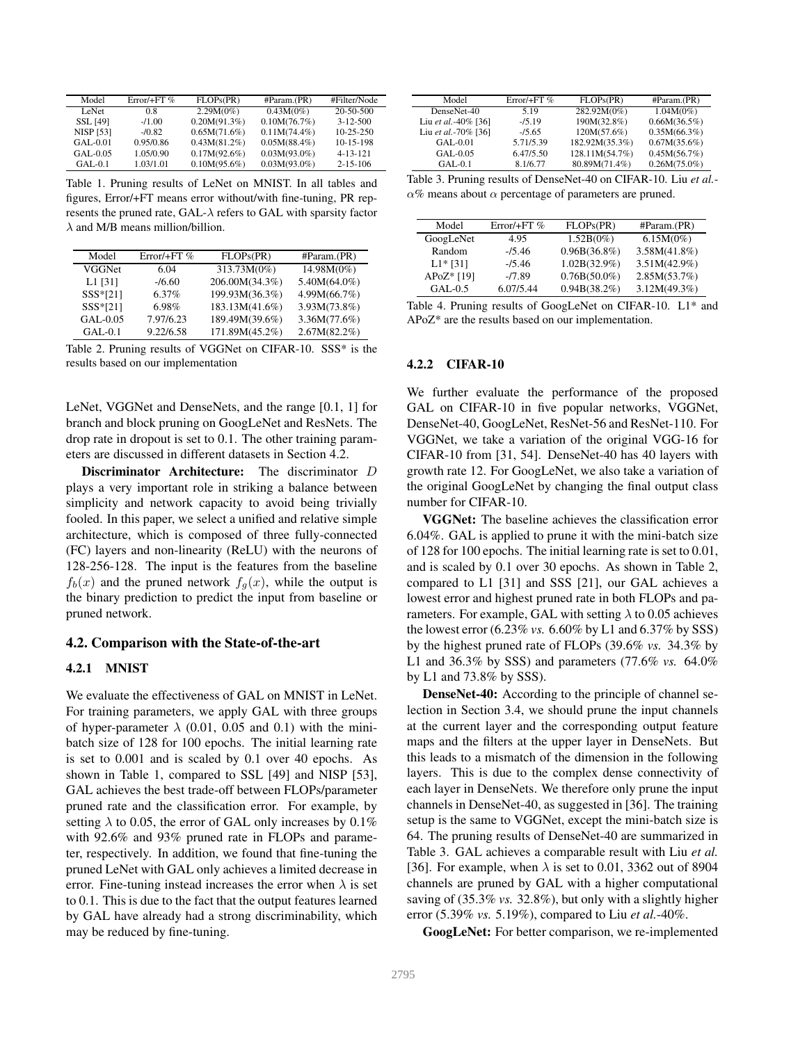| Model            | $Error/ + FT$ % | FLOPs(PR)       | #Param(PR)      | #Filter/Node    |
|------------------|-----------------|-----------------|-----------------|-----------------|
| LeNet            | 0.8             | $2.29M(0\%)$    | 0.43M(0%)       | $20 - 50 - 500$ |
| <b>SSL [49]</b>  | $-1.00$         | $0.20M(91.3\%)$ | 0.10M(76.7%)    | $3 - 12 - 500$  |
| <b>NISP [53]</b> | $-10.82$        | 0.65M(71.6%)    | $0.11M(74.4\%)$ | $10 - 25 - 250$ |
| $GAI - 0.01$     | 0.95/0.86       | $0.43M(81.2\%)$ | $0.05M(88.4\%)$ | $10 - 15 - 198$ |
| GAL-0.05         | 1.05/0.90       | $0.17M(92.6\%)$ | $0.03M(93.0\%)$ | $4 - 13 - 121$  |
| $GAI - 0.1$      | 1.03/1.01       | $0.10M(95.6\%)$ | $0.03M(93.0\%)$ | $2 - 15 - 106$  |

Table 1. Pruning results of LeNet on MNIST. In all tables and figures, Error/+FT means error without/with fine-tuning, PR represents the pruned rate, GAL- $\lambda$  refers to GAL with sparsity factor  $\lambda$  and M/B means million/billion.

| Model      | $Error/ + FT$ % | FLOPs(PR)      | #Param.(PR)     |
|------------|-----------------|----------------|-----------------|
| VGGNet     | 6.04            | 313.73M(0%)    | 14.98M(0%)      |
| $L1$ [31]  | $-16.60$        | 206.00M(34.3%) | $5.40M(64.0\%)$ |
| $SSS*[21]$ | $6.37\%$        | 199.93M(36.3%) | 4.99M(66.7%)    |
| $SSS*[21]$ | 6.98%           | 183.13M(41.6%) | 3.93M(73.8%)    |
| GAL-0.05   | 7.97/6.23       | 189.49M(39.6%) | 3.36M(77.6%)    |
| $GAL-0.1$  | 9.22/6.58       | 171.89M(45.2%) | $2.67M(82.2\%)$ |

Table 2. Pruning results of VGGNet on CIFAR-10. SSS\* is the results based on our implementation

LeNet, VGGNet and DenseNets, and the range [0.1, 1] for branch and block pruning on GoogLeNet and ResNets. The drop rate in dropout is set to 0.1. The other training parameters are discussed in different datasets in Section 4.2.

Discriminator Architecture: The discriminator D plays a very important role in striking a balance between simplicity and network capacity to avoid being trivially fooled. In this paper, we select a unified and relative simple architecture, which is composed of three fully-connected (FC) layers and non-linearity (ReLU) with the neurons of 128-256-128. The input is the features from the baseline  $f_b(x)$  and the pruned network  $f_a(x)$ , while the output is the binary prediction to predict the input from baseline or pruned network.

## 4.2. Comparison with the State-of-the-art

#### 4.2.1 MNIST

We evaluate the effectiveness of GAL on MNIST in LeNet. For training parameters, we apply GAL with three groups of hyper-parameter  $\lambda$  (0.01, 0.05 and 0.1) with the minibatch size of 128 for 100 epochs. The initial learning rate is set to 0.001 and is scaled by 0.1 over 40 epochs. As shown in Table 1, compared to SSL [49] and NISP [53], GAL achieves the best trade-off between FLOPs/parameter pruned rate and the classification error. For example, by setting  $\lambda$  to 0.05, the error of GAL only increases by 0.1% with 92.6% and 93% pruned rate in FLOPs and parameter, respectively. In addition, we found that fine-tuning the pruned LeNet with GAL only achieves a limited decrease in error. Fine-tuning instead increases the error when  $\lambda$  is set to 0.1. This is due to the fact that the output features learned by GAL have already had a strong discriminability, which may be reduced by fine-tuning.

| Model               | $Error/ + FT$ % | FLOPs(PR)      | #Param(PR)      |
|---------------------|-----------------|----------------|-----------------|
| DenseNet-40         | 5.19            | 282.92M(0%)    | 1.04M(0%)       |
| Liu et al.-40% [36] | $-15.19$        | 190M(32.8%)    | $0.66M(36.5\%)$ |
| Liu et al.-70% [36] | $-15.65$        | 120M(57.6%)    | $0.35M(66.3\%)$ |
| $GAL-0.01$          | 5.71/5.39       | 182.92M(35.3%) | $0.67M(35.6\%)$ |
| GAL-0.05            | 6.47/5.50       | 128.11M(54.7%) | 0.45M(56.7%)    |
| $GAL-0.1$           | 8.1/6.77        | 80.89M(71.4%)  | $0.26M(75.0\%)$ |

Table 3. Pruning results of DenseNet-40 on CIFAR-10. Liu *et al.*-  $\alpha$ % means about  $\alpha$  percentage of parameters are pruned.

| Model      | Error/+FT $%$ | FLOPs(PR)       | #Param(PR)      |
|------------|---------------|-----------------|-----------------|
| GoogLeNet  | 4.95          | 1.52B(0%)       | 6.15M(0%)       |
| Random     | $-15.46$      | $0.96B(36.8\%)$ | $3.58M(41.8\%)$ |
| $L1*$ [31] | $-15.46$      | $1.02B(32.9\%)$ | $3.51M(42.9\%)$ |
| APoZ* [19] | $-7.89$       | $0.76B(50.0\%)$ | 2.85M(53.7%)    |
| $GAL-0.5$  | 6.07/5.44     | $0.94B(38.2\%)$ | 3.12M(49.3%)    |

Table 4. Pruning results of GoogLeNet on CIFAR-10. L1\* and APoZ\* are the results based on our implementation.

#### 4.2.2 CIFAR-10

We further evaluate the performance of the proposed GAL on CIFAR-10 in five popular networks, VGGNet, DenseNet-40, GoogLeNet, ResNet-56 and ResNet-110. For VGGNet, we take a variation of the original VGG-16 for CIFAR-10 from [31, 54]. DenseNet-40 has 40 layers with growth rate 12. For GoogLeNet, we also take a variation of the original GoogLeNet by changing the final output class number for CIFAR-10.

VGGNet: The baseline achieves the classification error 6.04%. GAL is applied to prune it with the mini-batch size of 128 for 100 epochs. The initial learning rate is set to 0.01, and is scaled by 0.1 over 30 epochs. As shown in Table 2, compared to L1 [31] and SSS [21], our GAL achieves a lowest error and highest pruned rate in both FLOPs and parameters. For example, GAL with setting  $\lambda$  to 0.05 achieves the lowest error (6.23% *vs.* 6.60% by L1 and 6.37% by SSS) by the highest pruned rate of FLOPs (39.6% *vs.* 34.3% by L1 and 36.3% by SSS) and parameters (77.6% *vs.* 64.0% by L1 and 73.8% by SSS).

DenseNet-40: According to the principle of channel selection in Section 3.4, we should prune the input channels at the current layer and the corresponding output feature maps and the filters at the upper layer in DenseNets. But this leads to a mismatch of the dimension in the following layers. This is due to the complex dense connectivity of each layer in DenseNets. We therefore only prune the input channels in DenseNet-40, as suggested in [36]. The training setup is the same to VGGNet, except the mini-batch size is 64. The pruning results of DenseNet-40 are summarized in Table 3. GAL achieves a comparable result with Liu *et al.* [36]. For example, when  $\lambda$  is set to 0.01, 3362 out of 8904 channels are pruned by GAL with a higher computational saving of (35.3% *vs.* 32.8%), but only with a slightly higher error (5.39% *vs.* 5.19%), compared to Liu *et al.*-40%.

GoogLeNet: For better comparison, we re-implemented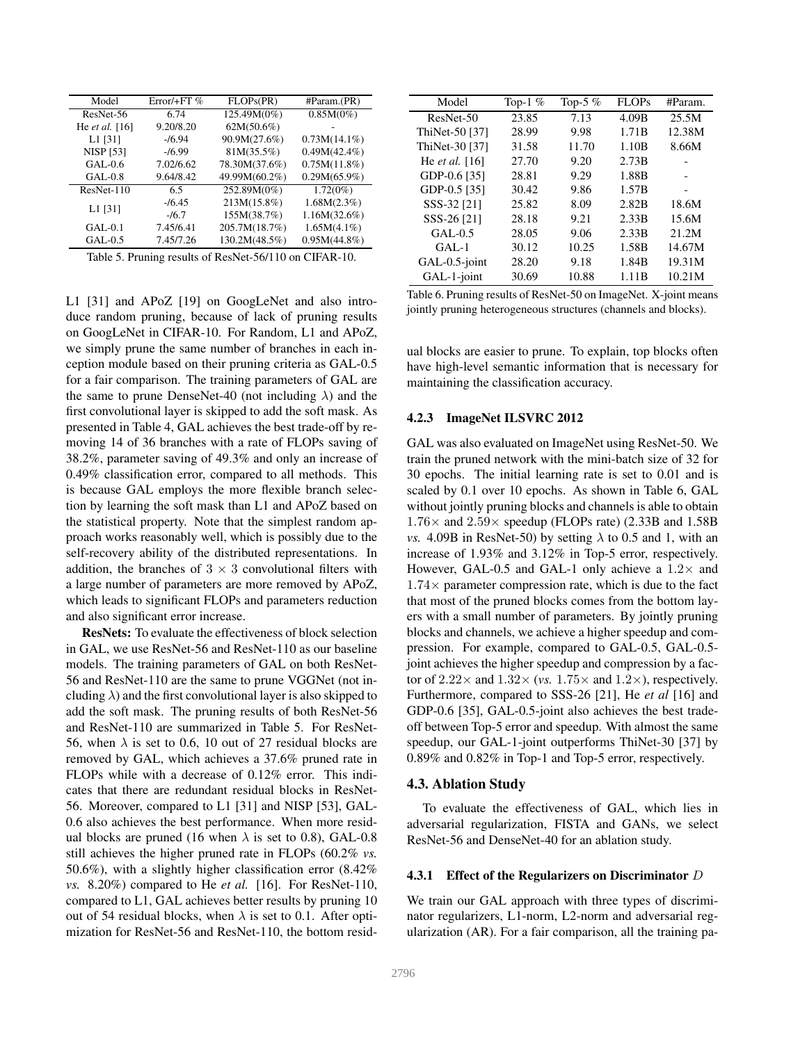| Model            | $Error/ + FT$ % | FLOPs(PR)     | #Param(PR)      |
|------------------|-----------------|---------------|-----------------|
| ResNet-56        | 6.74            | 125.49M(0%)   | 0.85M(0%)       |
| He et al. $[16]$ | 9.20/8.20       | $62M(50.6\%)$ |                 |
| $L1$ [31]        | $-16.94$        | 90.9M(27.6%)  | $0.73M(14.1\%)$ |
| <b>NISP [53]</b> | $-16.99$        | 81M(35.5%)    | $0.49M(42.4\%)$ |
| $GAI - 0.6$      | 7.02/6.62       | 78.30M(37.6%) | 0.75M(11.8%)    |
| $GAI-0.8$        | 9.64/8.42       | 49.99M(60.2%) | $0.29M(65.9\%)$ |
| $ResNet-110$     | 6.5             | 252.89M(0%)   | $1.72(0\%)$     |
| $L1$ [31]        | $-16.45$        | 213M(15.8%)   | 1.68M(2.3%)     |
|                  | $-16.7$         | 155M(38.7%)   | 1.16M(32.6%)    |
| $GAI - 0.1$      | 7.45/6.41       | 205.7M(18.7%) | $1.65M(4.1\%)$  |
| $GAL-0.5$        | 7.45/7.26       | 130.2M(48.5%) | $0.95M(44.8\%)$ |

Table 5. Pruning results of ResNet-56/110 on CIFAR-10.

L1 [31] and APoZ [19] on GoogLeNet and also introduce random pruning, because of lack of pruning results on GoogLeNet in CIFAR-10. For Random, L1 and APoZ, we simply prune the same number of branches in each inception module based on their pruning criteria as GAL-0.5 for a fair comparison. The training parameters of GAL are the same to prune DenseNet-40 (not including  $\lambda$ ) and the first convolutional layer is skipped to add the soft mask. As presented in Table 4, GAL achieves the best trade-off by removing 14 of 36 branches with a rate of FLOPs saving of 38.2%, parameter saving of 49.3% and only an increase of 0.49% classification error, compared to all methods. This is because GAL employs the more flexible branch selection by learning the soft mask than L1 and APoZ based on the statistical property. Note that the simplest random approach works reasonably well, which is possibly due to the self-recovery ability of the distributed representations. In addition, the branches of  $3 \times 3$  convolutional filters with a large number of parameters are more removed by APoZ, which leads to significant FLOPs and parameters reduction and also significant error increase.

ResNets: To evaluate the effectiveness of block selection in GAL, we use ResNet-56 and ResNet-110 as our baseline models. The training parameters of GAL on both ResNet-56 and ResNet-110 are the same to prune VGGNet (not including  $\lambda$ ) and the first convolutional layer is also skipped to add the soft mask. The pruning results of both ResNet-56 and ResNet-110 are summarized in Table 5. For ResNet-56, when  $\lambda$  is set to 0.6, 10 out of 27 residual blocks are removed by GAL, which achieves a 37.6% pruned rate in FLOPs while with a decrease of 0.12% error. This indicates that there are redundant residual blocks in ResNet-56. Moreover, compared to L1 [31] and NISP [53], GAL-0.6 also achieves the best performance. When more residual blocks are pruned (16 when  $\lambda$  is set to 0.8), GAL-0.8 still achieves the higher pruned rate in FLOPs (60.2% *vs.* 50.6%), with a slightly higher classification error (8.42% *vs.* 8.20%) compared to He *et al.* [16]. For ResNet-110, compared to L1, GAL achieves better results by pruning 10 out of 54 residual blocks, when  $\lambda$  is set to 0.1. After optimization for ResNet-56 and ResNet-110, the bottom resid-

| Model                   | Top-1 $%$ | Top-5 $%$ | FLOPs | #Param. |
|-------------------------|-----------|-----------|-------|---------|
| ResNet-50               | 23.85     | 7.13      | 4.09B | 25.5M   |
| ThiNet-50 [37]          | 28.99     | 9.98      | 1.71B | 12.38M  |
| ThiNet-30 [37]          | 31.58     | 11.70     | 1.10B | 8.66M   |
| He <i>et al.</i> $[16]$ | 27.70     | 9.20      | 2.73B |         |
| GDP-0.6 [35]            | 28.81     | 9.29      | 1.88B |         |
| GDP-0.5 [35]            | 30.42     | 9.86      | 1.57B |         |
| SSS-32 [21]             | 25.82     | 8.09      | 2.82B | 18.6M   |
| SSS-26 [21]             | 28.18     | 9.21      | 2.33B | 15.6M   |
| $GAL-0.5$               | 28.05     | 9.06      | 2.33B | 21.2M   |
| $GAL-1$                 | 30.12     | 10.25     | 1.58B | 14.67M  |
| GAL-0.5-joint           | 28.20     | 9.18      | 1.84B | 19.31M  |
| GAL-1-joint             | 30.69     | 10.88     | 1.11B | 10.21M  |

Table 6. Pruning results of ResNet-50 on ImageNet. X-joint means jointly pruning heterogeneous structures (channels and blocks).

ual blocks are easier to prune. To explain, top blocks often have high-level semantic information that is necessary for maintaining the classification accuracy.

#### 4.2.3 ImageNet ILSVRC 2012

GAL was also evaluated on ImageNet using ResNet-50. We train the pruned network with the mini-batch size of 32 for 30 epochs. The initial learning rate is set to 0.01 and is scaled by 0.1 over 10 epochs. As shown in Table 6, GAL without jointly pruning blocks and channels is able to obtain  $1.76\times$  and  $2.59\times$  speedup (FLOPs rate) (2.33B and 1.58B *vs.* 4.09B in ResNet-50) by setting  $\lambda$  to 0.5 and 1, with an increase of 1.93% and 3.12% in Top-5 error, respectively. However, GAL-0.5 and GAL-1 only achieve a  $1.2\times$  and  $1.74\times$  parameter compression rate, which is due to the fact that most of the pruned blocks comes from the bottom layers with a small number of parameters. By jointly pruning blocks and channels, we achieve a higher speedup and compression. For example, compared to GAL-0.5, GAL-0.5 joint achieves the higher speedup and compression by a factor of  $2.22 \times$  and  $1.32 \times$  (*vs.*  $1.75 \times$  and  $1.2 \times$ ), respectively. Furthermore, compared to SSS-26 [21], He *et al* [16] and GDP-0.6 [35], GAL-0.5-joint also achieves the best tradeoff between Top-5 error and speedup. With almost the same speedup, our GAL-1-joint outperforms ThiNet-30 [37] by 0.89% and 0.82% in Top-1 and Top-5 error, respectively.

#### 4.3. Ablation Study

To evaluate the effectiveness of GAL, which lies in adversarial regularization, FISTA and GANs, we select ResNet-56 and DenseNet-40 for an ablation study.

#### 4.3.1 Effect of the Regularizers on Discriminator  $D$

We train our GAL approach with three types of discriminator regularizers, L1-norm, L2-norm and adversarial regularization (AR). For a fair comparison, all the training pa-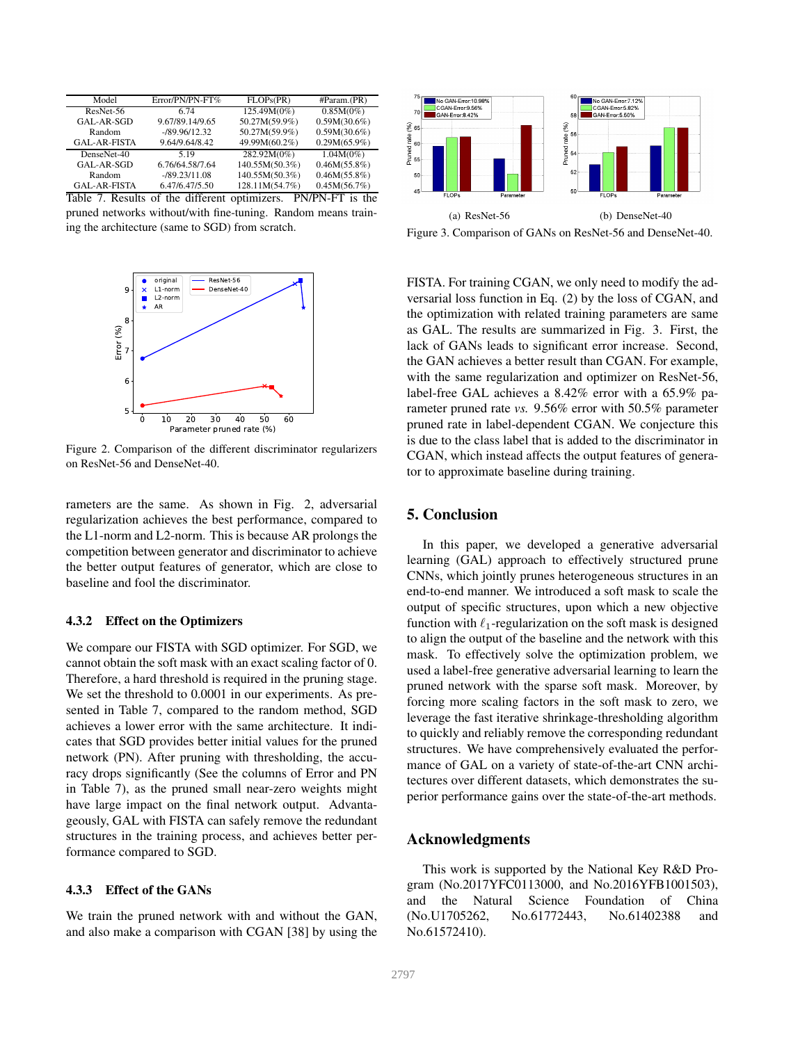| Model                            | Error/PN/PN-FT%             | FLOPs(PR)      | #Param.(PR)                                                                   |
|----------------------------------|-----------------------------|----------------|-------------------------------------------------------------------------------|
| ResNet-56                        | 6.74                        | 125.49M(0%)    | 0.85M(0%)                                                                     |
| GAL-AR-SGD                       | 9.67/89.14/9.65             | 50.27M(59.9%)  | $0.59M(30.6\%)$                                                               |
| Random                           | $-189.96/12.32$             | 50.27M(59.9%)  | $0.59M(30.6\%)$                                                               |
| <b>GAL-AR-FISTA</b>              | 9.64/9.64/8.42              | 49.99M(60.2%)  | $0.29M(65.9\%)$                                                               |
| DenseNet-40                      | 5 1 9                       | 282.92M(0%)    | $1.04M(0\%)$                                                                  |
| GAL-AR-SGD                       | 6.76/64.58/7.64             | 140.55M(50.3%) | 0.46M(55.8%)                                                                  |
| Random                           | $-189.23/11.08$             | 140.55M(50.3%) | 0.46M(55.8%)                                                                  |
| <b>GAL-AR-FISTA</b>              | 6.47/6.47/5.50              | 128.11M(54.7%) | 0.45M(56.7%)                                                                  |
| $\sim$ $\sim$<br><b>T</b> .<br>. | $\sim$ $\sim$ $\sim$ $\sim$ |                | $\mathbf{m}$ $\mathbf{r}$ $\mathbf{m}$ $\mathbf{r}$ $\mathbf{m}$ $\mathbf{r}$ |

Table 7. Results of the different optimizers. PN/PN-FT is the pruned networks without/with fine-tuning. Random means training the architecture (same to SGD) from scratch.



Figure 2. Comparison of the different discriminator regularizers on ResNet-56 and DenseNet-40.

rameters are the same. As shown in Fig. 2, adversarial regularization achieves the best performance, compared to the L1-norm and L2-norm. This is because AR prolongs the competition between generator and discriminator to achieve the better output features of generator, which are close to baseline and fool the discriminator.

#### 4.3.2 Effect on the Optimizers

We compare our FISTA with SGD optimizer. For SGD, we cannot obtain the soft mask with an exact scaling factor of 0. Therefore, a hard threshold is required in the pruning stage. We set the threshold to 0.0001 in our experiments. As presented in Table 7, compared to the random method, SGD achieves a lower error with the same architecture. It indicates that SGD provides better initial values for the pruned network (PN). After pruning with thresholding, the accuracy drops significantly (See the columns of Error and PN in Table 7), as the pruned small near-zero weights might have large impact on the final network output. Advantageously, GAL with FISTA can safely remove the redundant structures in the training process, and achieves better performance compared to SGD.

### 4.3.3 Effect of the GANs

We train the pruned network with and without the GAN, and also make a comparison with CGAN [38] by using the



Figure 3. Comparison of GANs on ResNet-56 and DenseNet-40.

FISTA. For training CGAN, we only need to modify the adversarial loss function in Eq. (2) by the loss of CGAN, and the optimization with related training parameters are same as GAL. The results are summarized in Fig. 3. First, the lack of GANs leads to significant error increase. Second, the GAN achieves a better result than CGAN. For example, with the same regularization and optimizer on ResNet-56, label-free GAL achieves a 8.42% error with a 65.9% parameter pruned rate *vs.* 9.56% error with 50.5% parameter pruned rate in label-dependent CGAN. We conjecture this is due to the class label that is added to the discriminator in CGAN, which instead affects the output features of generator to approximate baseline during training.

## 5. Conclusion

In this paper, we developed a generative adversarial learning (GAL) approach to effectively structured prune CNNs, which jointly prunes heterogeneous structures in an end-to-end manner. We introduced a soft mask to scale the output of specific structures, upon which a new objective function with  $\ell_1$ -regularization on the soft mask is designed to align the output of the baseline and the network with this mask. To effectively solve the optimization problem, we used a label-free generative adversarial learning to learn the pruned network with the sparse soft mask. Moreover, by forcing more scaling factors in the soft mask to zero, we leverage the fast iterative shrinkage-thresholding algorithm to quickly and reliably remove the corresponding redundant structures. We have comprehensively evaluated the performance of GAL on a variety of state-of-the-art CNN architectures over different datasets, which demonstrates the superior performance gains over the state-of-the-art methods.

## Acknowledgments

This work is supported by the National Key R&D Program (No.2017YFC0113000, and No.2016YFB1001503), and the Natural Science Foundation of China (No.U1705262, No.61772443, No.61402388 and No.61572410).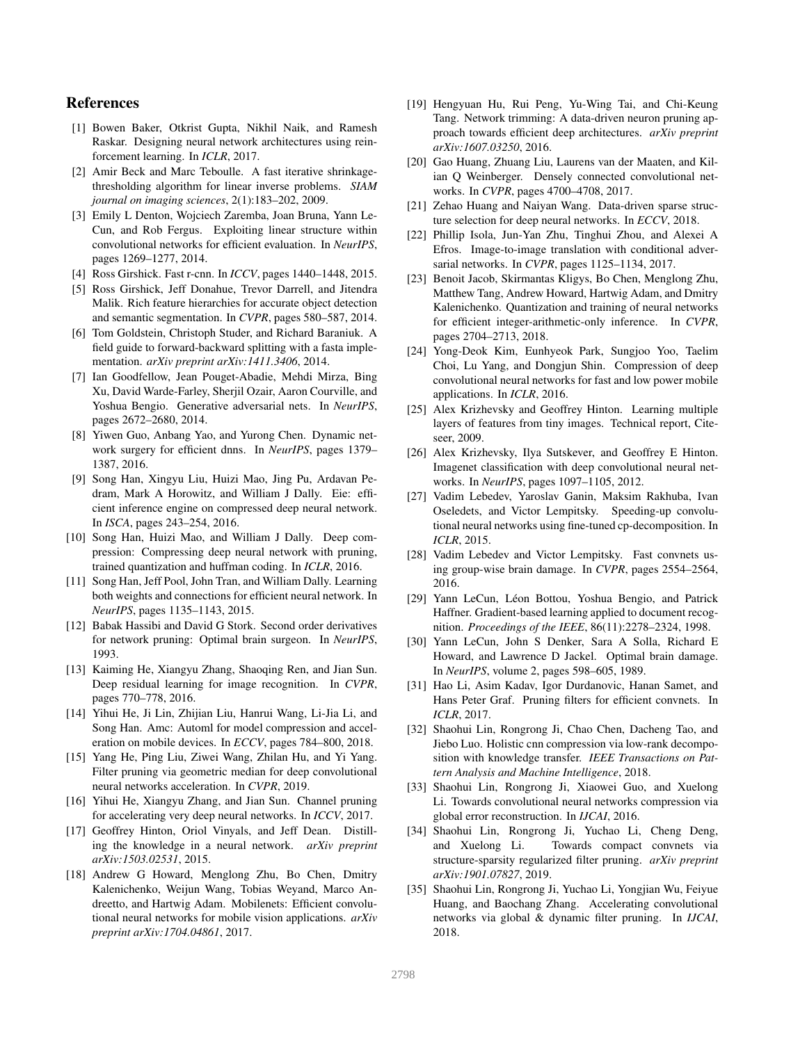## References

- [1] Bowen Baker, Otkrist Gupta, Nikhil Naik, and Ramesh Raskar. Designing neural network architectures using reinforcement learning. In *ICLR*, 2017.
- [2] Amir Beck and Marc Teboulle. A fast iterative shrinkagethresholding algorithm for linear inverse problems. *SIAM journal on imaging sciences*, 2(1):183–202, 2009.
- [3] Emily L Denton, Wojciech Zaremba, Joan Bruna, Yann Le-Cun, and Rob Fergus. Exploiting linear structure within convolutional networks for efficient evaluation. In *NeurIPS*, pages 1269–1277, 2014.
- [4] Ross Girshick. Fast r-cnn. In *ICCV*, pages 1440–1448, 2015.
- [5] Ross Girshick, Jeff Donahue, Trevor Darrell, and Jitendra Malik. Rich feature hierarchies for accurate object detection and semantic segmentation. In *CVPR*, pages 580–587, 2014.
- [6] Tom Goldstein, Christoph Studer, and Richard Baraniuk. A field guide to forward-backward splitting with a fasta implementation. *arXiv preprint arXiv:1411.3406*, 2014.
- [7] Ian Goodfellow, Jean Pouget-Abadie, Mehdi Mirza, Bing Xu, David Warde-Farley, Sherjil Ozair, Aaron Courville, and Yoshua Bengio. Generative adversarial nets. In *NeurIPS*, pages 2672–2680, 2014.
- [8] Yiwen Guo, Anbang Yao, and Yurong Chen. Dynamic network surgery for efficient dnns. In *NeurIPS*, pages 1379– 1387, 2016.
- [9] Song Han, Xingyu Liu, Huizi Mao, Jing Pu, Ardavan Pedram, Mark A Horowitz, and William J Dally. Eie: efficient inference engine on compressed deep neural network. In *ISCA*, pages 243–254, 2016.
- [10] Song Han, Huizi Mao, and William J Dally. Deep compression: Compressing deep neural network with pruning, trained quantization and huffman coding. In *ICLR*, 2016.
- [11] Song Han, Jeff Pool, John Tran, and William Dally. Learning both weights and connections for efficient neural network. In *NeurIPS*, pages 1135–1143, 2015.
- [12] Babak Hassibi and David G Stork. Second order derivatives for network pruning: Optimal brain surgeon. In *NeurIPS*, 1993.
- [13] Kaiming He, Xiangyu Zhang, Shaoqing Ren, and Jian Sun. Deep residual learning for image recognition. In *CVPR*, pages 770–778, 2016.
- [14] Yihui He, Ji Lin, Zhijian Liu, Hanrui Wang, Li-Jia Li, and Song Han. Amc: Automl for model compression and acceleration on mobile devices. In *ECCV*, pages 784–800, 2018.
- [15] Yang He, Ping Liu, Ziwei Wang, Zhilan Hu, and Yi Yang. Filter pruning via geometric median for deep convolutional neural networks acceleration. In *CVPR*, 2019.
- [16] Yihui He, Xiangyu Zhang, and Jian Sun. Channel pruning for accelerating very deep neural networks. In *ICCV*, 2017.
- [17] Geoffrey Hinton, Oriol Vinyals, and Jeff Dean. Distilling the knowledge in a neural network. *arXiv preprint arXiv:1503.02531*, 2015.
- [18] Andrew G Howard, Menglong Zhu, Bo Chen, Dmitry Kalenichenko, Weijun Wang, Tobias Weyand, Marco Andreetto, and Hartwig Adam. Mobilenets: Efficient convolutional neural networks for mobile vision applications. *arXiv preprint arXiv:1704.04861*, 2017.
- [19] Hengyuan Hu, Rui Peng, Yu-Wing Tai, and Chi-Keung Tang. Network trimming: A data-driven neuron pruning approach towards efficient deep architectures. *arXiv preprint arXiv:1607.03250*, 2016.
- [20] Gao Huang, Zhuang Liu, Laurens van der Maaten, and Kilian Q Weinberger. Densely connected convolutional networks. In *CVPR*, pages 4700–4708, 2017.
- [21] Zehao Huang and Naiyan Wang. Data-driven sparse structure selection for deep neural networks. In *ECCV*, 2018.
- [22] Phillip Isola, Jun-Yan Zhu, Tinghui Zhou, and Alexei A Efros. Image-to-image translation with conditional adversarial networks. In *CVPR*, pages 1125–1134, 2017.
- [23] Benoit Jacob, Skirmantas Kligys, Bo Chen, Menglong Zhu, Matthew Tang, Andrew Howard, Hartwig Adam, and Dmitry Kalenichenko. Quantization and training of neural networks for efficient integer-arithmetic-only inference. In *CVPR*, pages 2704–2713, 2018.
- [24] Yong-Deok Kim, Eunhyeok Park, Sungjoo Yoo, Taelim Choi, Lu Yang, and Dongjun Shin. Compression of deep convolutional neural networks for fast and low power mobile applications. In *ICLR*, 2016.
- [25] Alex Krizhevsky and Geoffrey Hinton. Learning multiple layers of features from tiny images. Technical report, Citeseer, 2009.
- [26] Alex Krizhevsky, Ilya Sutskever, and Geoffrey E Hinton. Imagenet classification with deep convolutional neural networks. In *NeurIPS*, pages 1097–1105, 2012.
- [27] Vadim Lebedev, Yaroslav Ganin, Maksim Rakhuba, Ivan Oseledets, and Victor Lempitsky. Speeding-up convolutional neural networks using fine-tuned cp-decomposition. In *ICLR*, 2015.
- [28] Vadim Lebedev and Victor Lempitsky. Fast convnets using group-wise brain damage. In *CVPR*, pages 2554–2564, 2016.
- [29] Yann LeCun, Léon Bottou, Yoshua Bengio, and Patrick Haffner. Gradient-based learning applied to document recognition. *Proceedings of the IEEE*, 86(11):2278–2324, 1998.
- [30] Yann LeCun, John S Denker, Sara A Solla, Richard E Howard, and Lawrence D Jackel. Optimal brain damage. In *NeurIPS*, volume 2, pages 598–605, 1989.
- [31] Hao Li, Asim Kadav, Igor Durdanovic, Hanan Samet, and Hans Peter Graf. Pruning filters for efficient convnets. In *ICLR*, 2017.
- [32] Shaohui Lin, Rongrong Ji, Chao Chen, Dacheng Tao, and Jiebo Luo. Holistic cnn compression via low-rank decomposition with knowledge transfer. *IEEE Transactions on Pattern Analysis and Machine Intelligence*, 2018.
- [33] Shaohui Lin, Rongrong Ji, Xiaowei Guo, and Xuelong Li. Towards convolutional neural networks compression via global error reconstruction. In *IJCAI*, 2016.
- [34] Shaohui Lin, Rongrong Ji, Yuchao Li, Cheng Deng, and Xuelong Li. Towards compact convnets via structure-sparsity regularized filter pruning. *arXiv preprint arXiv:1901.07827*, 2019.
- [35] Shaohui Lin, Rongrong Ji, Yuchao Li, Yongjian Wu, Feiyue Huang, and Baochang Zhang. Accelerating convolutional networks via global & dynamic filter pruning. In *IJCAI*, 2018.